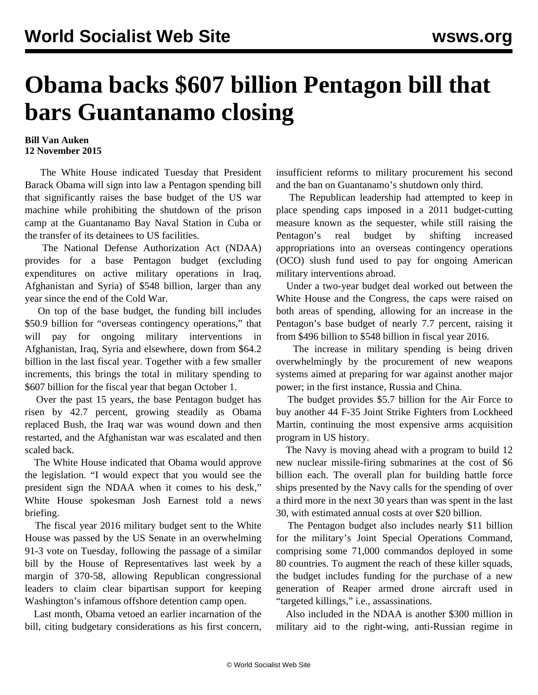## **Obama backs \$607 billion Pentagon bill that bars Guantanamo closing**

## **Bill Van Auken 12 November 2015**

 The White House indicated Tuesday that President Barack Obama will sign into law a Pentagon spending bill that significantly raises the base budget of the US war machine while prohibiting the shutdown of the prison camp at the Guantanamo Bay Naval Station in Cuba or the transfer of its detainees to US facilities.

 The National Defense Authorization Act (NDAA) provides for a base Pentagon budget (excluding expenditures on active military operations in Iraq, Afghanistan and Syria) of \$548 billion, larger than any year since the end of the Cold War.

 On top of the base budget, the funding bill includes \$50.9 billion for "overseas contingency operations," that will pay for ongoing military interventions in Afghanistan, Iraq, Syria and elsewhere, down from \$64.2 billion in the last fiscal year. Together with a few smaller increments, this brings the total in military spending to \$607 billion for the fiscal year that began October 1.

 Over the past 15 years, the base Pentagon budget has risen by 42.7 percent, growing steadily as Obama replaced Bush, the Iraq war was wound down and then restarted, and the Afghanistan war was escalated and then scaled back.

 The White House indicated that Obama would approve the legislation. "I would expect that you would see the president sign the NDAA when it comes to his desk," White House spokesman Josh Earnest told a news briefing.

 The fiscal year 2016 military budget sent to the White House was passed by the US Senate in an overwhelming 91-3 vote on Tuesday, following the passage of a similar bill by the House of Representatives last week by a margin of 370-58, allowing Republican congressional leaders to claim clear bipartisan support for keeping Washington's infamous offshore detention camp open.

 Last month, Obama vetoed an earlier incarnation of the bill, citing budgetary considerations as his first concern, insufficient reforms to military procurement his second and the ban on Guantanamo's shutdown only third.

 The Republican leadership had attempted to keep in place spending caps imposed in a 2011 budget-cutting measure known as the sequester, while still raising the Pentagon's real budget by shifting increased appropriations into an overseas contingency operations (OCO) slush fund used to pay for ongoing American military interventions abroad.

 Under a two-year budget deal worked out between the White House and the Congress, the caps were raised on both areas of spending, allowing for an increase in the Pentagon's base budget of nearly 7.7 percent, raising it from \$496 billion to \$548 billion in fiscal year 2016.

 The increase in military spending is being driven overwhelmingly by the procurement of new weapons systems aimed at preparing for war against another major power; in the first instance, Russia and China.

 The budget provides \$5.7 billion for the Air Force to buy another 44 F-35 Joint Strike Fighters from Lockheed Martin, continuing the most expensive arms acquisition program in US history.

 The Navy is moving ahead with a program to build 12 new nuclear missile-firing submarines at the cost of \$6 billion each. The overall plan for building battle force ships presented by the Navy calls for the spending of over a third more in the next 30 years than was spent in the last 30, with estimated annual costs at over \$20 billion.

 The Pentagon budget also includes nearly \$11 billion for the military's Joint Special Operations Command, comprising some 71,000 commandos deployed in some 80 countries. To augment the reach of these killer squads, the budget includes funding for the purchase of a new generation of Reaper armed drone aircraft used in "targeted killings," i.e., assassinations.

 Also included in the NDAA is another \$300 million in military aid to the right-wing, anti-Russian regime in